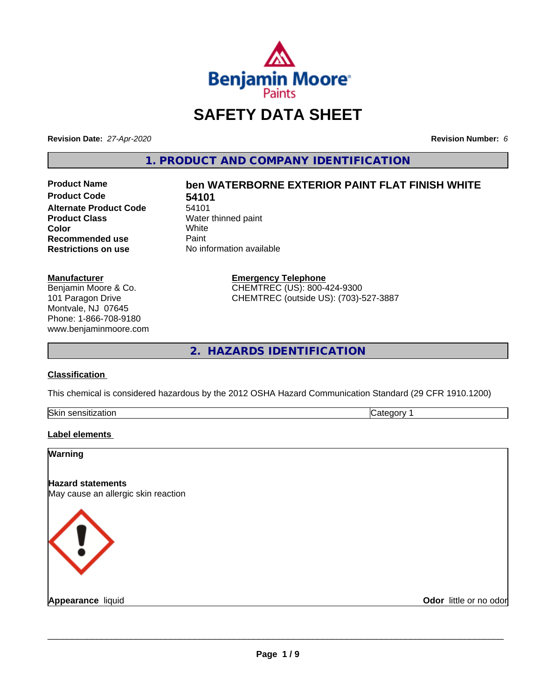

## **SAFETY DATA SHEET**

**Revision Date:** *27-Apr-2020* **Revision Number:** *6*

**1. PRODUCT AND COMPANY IDENTIFICATION**

**Product Code 54101**<br>Alternate Product Code 54101 **Alternate Product Code**<br>Product Class **Color** White White **Recommended use** Paint<br> **Restrictions on use** No inf

# **Product Name ben WATERBORNE EXTERIOR PAINT FLAT FINISH WHITE**

**Water thinned paint**<br>White **No information available** 

> **Emergency Telephone** CHEMTREC (US): 800-424-9300 CHEMTREC (outside US): (703)-527-3887

**2. HAZARDS IDENTIFICATION**

#### **Classification**

**Manufacturer**

Benjamin Moore & Co. 101 Paragon Drive Montvale, NJ 07645 Phone: 1-866-708-9180 www.benjaminmoore.com

This chemical is considered hazardous by the 2012 OSHA Hazard Communication Standard (29 CFR 1910.1200)

| Skin<br>. <i>.</i><br>auvr.<br>- 11 | ־ |
|-------------------------------------|---|

#### **Label elements**

| <b>Warning</b>                                                  |                        |
|-----------------------------------------------------------------|------------------------|
| <b>Hazard statements</b><br>May cause an allergic skin reaction |                        |
| KI)                                                             |                        |
|                                                                 |                        |
| <b>Appearance liquid</b>                                        | Odor little or no odor |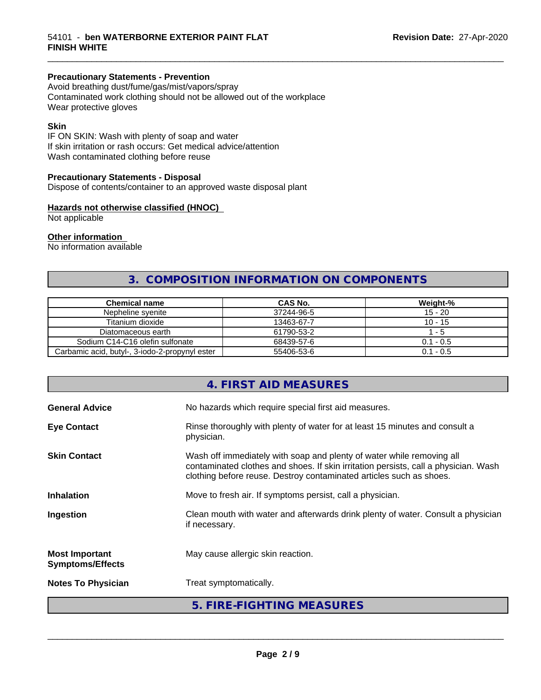#### **Precautionary Statements - Prevention**

Avoid breathing dust/fume/gas/mist/vapors/spray Contaminated work clothing should not be allowed out of the workplace Wear protective gloves

#### **Skin**

IF ON SKIN: Wash with plenty of soap and water If skin irritation or rash occurs: Get medical advice/attention Wash contaminated clothing before reuse

#### **Precautionary Statements - Disposal**

Dispose of contents/container to an approved waste disposal plant

#### **Hazards not otherwise classified (HNOC)**

Not applicable

#### **Other information**

No information available

### **3. COMPOSITION INFORMATION ON COMPONENTS**

\_\_\_\_\_\_\_\_\_\_\_\_\_\_\_\_\_\_\_\_\_\_\_\_\_\_\_\_\_\_\_\_\_\_\_\_\_\_\_\_\_\_\_\_\_\_\_\_\_\_\_\_\_\_\_\_\_\_\_\_\_\_\_\_\_\_\_\_\_\_\_\_\_\_\_\_\_\_\_\_\_\_\_\_\_\_\_\_\_\_\_\_\_

| <b>Chemical name</b>                           | CAS No.    | Weight-%    |
|------------------------------------------------|------------|-------------|
| Nepheline svenite                              | 37244-96-5 | $15 - 20$   |
| Titanium dioxide                               | 13463-67-7 | $10 - 15$   |
| Diatomaceous earth                             | 61790-53-2 | - 5         |
| Sodium C14-C16 olefin sulfonate                | 68439-57-6 | $0.1 - 0.5$ |
| Carbamic acid, butyl-, 3-iodo-2-propynyl ester | 55406-53-6 | $0.1 - 0.5$ |

|                                                  | 4. FIRST AID MEASURES                                                                                                                                                                                                               |
|--------------------------------------------------|-------------------------------------------------------------------------------------------------------------------------------------------------------------------------------------------------------------------------------------|
| <b>General Advice</b>                            | No hazards which require special first aid measures.                                                                                                                                                                                |
| <b>Eye Contact</b>                               | Rinse thoroughly with plenty of water for at least 15 minutes and consult a<br>physician.                                                                                                                                           |
| <b>Skin Contact</b>                              | Wash off immediately with soap and plenty of water while removing all<br>contaminated clothes and shoes. If skin irritation persists, call a physician. Wash<br>clothing before reuse. Destroy contaminated articles such as shoes. |
| <b>Inhalation</b>                                | Move to fresh air. If symptoms persist, call a physician.                                                                                                                                                                           |
| Ingestion                                        | Clean mouth with water and afterwards drink plenty of water. Consult a physician<br>if necessary.                                                                                                                                   |
| <b>Most Important</b><br><b>Symptoms/Effects</b> | May cause allergic skin reaction.                                                                                                                                                                                                   |
| <b>Notes To Physician</b>                        | Treat symptomatically.                                                                                                                                                                                                              |
|                                                  | 5. FIRE-FIGHTING MEASURES                                                                                                                                                                                                           |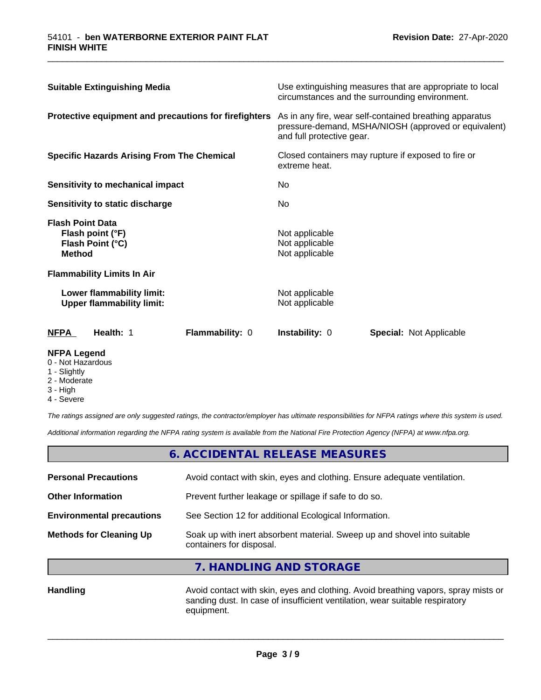| <b>Suitable Extinguishing Media</b>                                              | Use extinguishing measures that are appropriate to local<br>circumstances and the surrounding environment.                                   |  |
|----------------------------------------------------------------------------------|----------------------------------------------------------------------------------------------------------------------------------------------|--|
| Protective equipment and precautions for firefighters                            | As in any fire, wear self-contained breathing apparatus<br>pressure-demand, MSHA/NIOSH (approved or equivalent)<br>and full protective gear. |  |
| <b>Specific Hazards Arising From The Chemical</b>                                | Closed containers may rupture if exposed to fire or<br>extreme heat.<br>No<br>No.                                                            |  |
| Sensitivity to mechanical impact                                                 |                                                                                                                                              |  |
| Sensitivity to static discharge                                                  |                                                                                                                                              |  |
| <b>Flash Point Data</b><br>Flash point (°F)<br>Flash Point (°C)<br><b>Method</b> | Not applicable<br>Not applicable<br>Not applicable                                                                                           |  |
| <b>Flammability Limits In Air</b>                                                |                                                                                                                                              |  |
| Lower flammability limit:<br><b>Upper flammability limit:</b>                    | Not applicable<br>Not applicable                                                                                                             |  |
| <b>NFPA</b><br>Health: 1<br>Flammability: 0                                      | <b>Instability: 0</b><br><b>Special: Not Applicable</b>                                                                                      |  |

\_\_\_\_\_\_\_\_\_\_\_\_\_\_\_\_\_\_\_\_\_\_\_\_\_\_\_\_\_\_\_\_\_\_\_\_\_\_\_\_\_\_\_\_\_\_\_\_\_\_\_\_\_\_\_\_\_\_\_\_\_\_\_\_\_\_\_\_\_\_\_\_\_\_\_\_\_\_\_\_\_\_\_\_\_\_\_\_\_\_\_\_\_

#### **NFPA Legend**

- 0 Not Hazardous
- 1 Slightly
- 2 Moderate
- 3 High
- 4 Severe

*The ratings assigned are only suggested ratings, the contractor/employer has ultimate responsibilities for NFPA ratings where this system is used.*

*Additional information regarding the NFPA rating system is available from the National Fire Protection Agency (NFPA) at www.nfpa.org.*

|                                  | 6. ACCIDENTAL RELEASE MEASURES                                                                       |  |
|----------------------------------|------------------------------------------------------------------------------------------------------|--|
| <b>Personal Precautions</b>      | Avoid contact with skin, eyes and clothing. Ensure adequate ventilation.                             |  |
| <b>Other Information</b>         | Prevent further leakage or spillage if safe to do so.                                                |  |
| <b>Environmental precautions</b> | See Section 12 for additional Ecological Information.                                                |  |
| <b>Methods for Cleaning Up</b>   | Soak up with inert absorbent material. Sweep up and shovel into suitable<br>containers for disposal. |  |

**7. HANDLING AND STORAGE**

Handling **Handling Avoid contact with skin, eyes and clothing. Avoid breathing vapors, spray mists or** sanding dust. In case of insufficient ventilation, wear suitable respiratory equipment.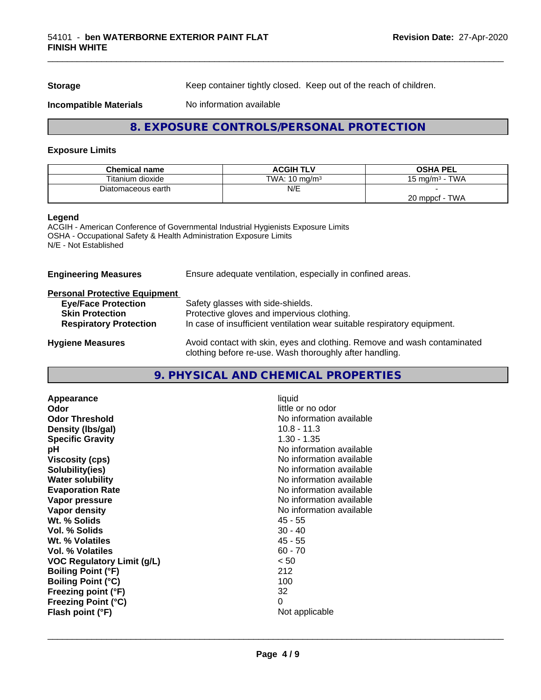**Storage** Keep container tightly closed. Keep out of the reach of children.

**Incompatible Materials** No information available

#### **8. EXPOSURE CONTROLS/PERSONAL PROTECTION**

#### **Exposure Limits**

| <b>Chemical name</b> | <b>ACGIH TLV</b>         | <b>OSHA PEL</b>             |
|----------------------|--------------------------|-----------------------------|
| Titanium dioxide     | TWA: $10 \text{ mg/m}^3$ | <b>TWA</b><br>, ma/m $^3\,$ |
| Diatomaceous earth   | N/E                      |                             |
|                      |                          | TWA<br>20 mppcf             |

#### **Legend**

ACGIH - American Conference of Governmental Industrial Hygienists Exposure Limits OSHA - Occupational Safety & Health Administration Exposure Limits N/E - Not Established

| Ensure adequate ventilation, especially in confined areas.                                                                          |
|-------------------------------------------------------------------------------------------------------------------------------------|
|                                                                                                                                     |
| Safety glasses with side-shields.                                                                                                   |
| Protective gloves and impervious clothing.                                                                                          |
| In case of insufficient ventilation wear suitable respiratory equipment.                                                            |
| Avoid contact with skin, eyes and clothing. Remove and wash contaminated<br>clothing before re-use. Wash thoroughly after handling. |
|                                                                                                                                     |

#### **9. PHYSICAL AND CHEMICAL PROPERTIES**

| liquid<br>little or no odor<br>No information available<br>$10.8 - 11.3$<br>$1.30 - 1.35$<br>No information available<br>No information available<br>No information available<br>No information available<br>No information available<br>No information available<br>No information available<br>$45 - 55$<br>$30 - 40$<br>$45 - 55$<br>$60 - 70$<br>< 50<br>212<br>100<br>32 |
|-------------------------------------------------------------------------------------------------------------------------------------------------------------------------------------------------------------------------------------------------------------------------------------------------------------------------------------------------------------------------------|
| 0<br>Not applicable                                                                                                                                                                                                                                                                                                                                                           |
|                                                                                                                                                                                                                                                                                                                                                                               |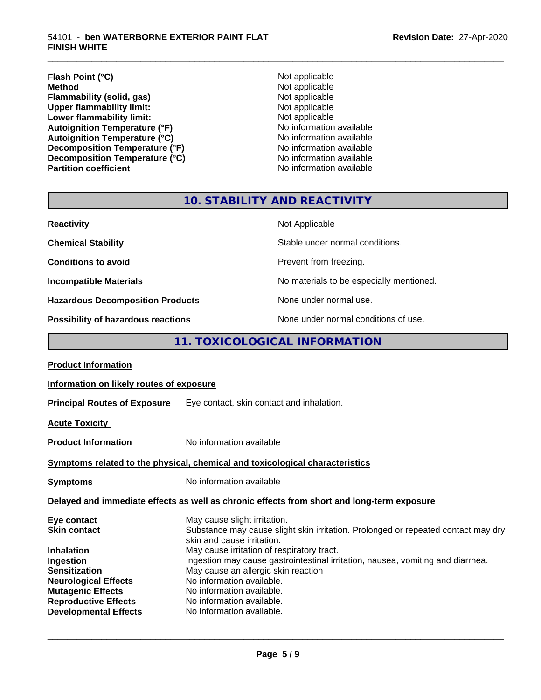#### **Flash Point (°C)**<br> **Method** Not applicable<br>
Not applicable<br>
Not applicable **Flammability (solid, gas)**<br> **Commability limit:**<br>
Upper flammability limit:<br>
Not applicable **Upper flammability limit:**<br> **Lower flammability limit:**<br>
Not applicable<br>
Not applicable **Lower flammability limit:**<br> **Autoignition Temperature (°F)**<br>
Mo information available Autoignition Temperature (°F)<br>
Autoignition Temperature (°C)<br>
No information available Autoignition **Temperature** (°C) Mo information available<br>Decomposition **Temperature** (°F) No information available **Decomposition Temperature (°F)**<br> **Decomposition Temperature (°C)**<br>
No information available **Decomposition Temperature (°C) Partition coefficient Contract Contract Contract Contract Contract Contract Contract Contract Contract Contract Contract Contract Contract Contract Contract Contract Contract Contract Contract Contract Contract Contract**

**Not applicable**<br>**Not applicable** 

\_\_\_\_\_\_\_\_\_\_\_\_\_\_\_\_\_\_\_\_\_\_\_\_\_\_\_\_\_\_\_\_\_\_\_\_\_\_\_\_\_\_\_\_\_\_\_\_\_\_\_\_\_\_\_\_\_\_\_\_\_\_\_\_\_\_\_\_\_\_\_\_\_\_\_\_\_\_\_\_\_\_\_\_\_\_\_\_\_\_\_\_\_

## **10. STABILITY AND REACTIVITY**

| <b>Reactivity</b>                       | Not Applicable                           |
|-----------------------------------------|------------------------------------------|
| <b>Chemical Stability</b>               | Stable under normal conditions.          |
| <b>Conditions to avoid</b>              | Prevent from freezing.                   |
| <b>Incompatible Materials</b>           | No materials to be especially mentioned. |
| <b>Hazardous Decomposition Products</b> | None under normal use.                   |
| Possibility of hazardous reactions      | None under normal conditions of use.     |

#### **11. TOXICOLOGICAL INFORMATION**

| <b>Product Information</b>                                                                                                                                                             |                                                                                                                                                                                                                                                                                                                                                                                                                |
|----------------------------------------------------------------------------------------------------------------------------------------------------------------------------------------|----------------------------------------------------------------------------------------------------------------------------------------------------------------------------------------------------------------------------------------------------------------------------------------------------------------------------------------------------------------------------------------------------------------|
| Information on likely routes of exposure                                                                                                                                               |                                                                                                                                                                                                                                                                                                                                                                                                                |
|                                                                                                                                                                                        | <b>Principal Routes of Exposure</b> Eye contact, skin contact and inhalation.                                                                                                                                                                                                                                                                                                                                  |
| <b>Acute Toxicity</b>                                                                                                                                                                  |                                                                                                                                                                                                                                                                                                                                                                                                                |
| <b>Product Information</b>                                                                                                                                                             | No information available                                                                                                                                                                                                                                                                                                                                                                                       |
|                                                                                                                                                                                        | Symptoms related to the physical, chemical and toxicological characteristics                                                                                                                                                                                                                                                                                                                                   |
| <b>Symptoms</b>                                                                                                                                                                        | No information available                                                                                                                                                                                                                                                                                                                                                                                       |
|                                                                                                                                                                                        | Delayed and immediate effects as well as chronic effects from short and long-term exposure                                                                                                                                                                                                                                                                                                                     |
| Eye contact<br><b>Skin contact</b><br><b>Inhalation</b><br>Ingestion<br><b>Sensitization</b><br><b>Neurological Effects</b><br><b>Mutagenic Effects</b><br><b>Reproductive Effects</b> | May cause slight irritation.<br>Substance may cause slight skin irritation. Prolonged or repeated contact may dry<br>skin and cause irritation.<br>May cause irritation of respiratory tract.<br>Ingestion may cause gastrointestinal irritation, nausea, vomiting and diarrhea.<br>May cause an allergic skin reaction<br>No information available.<br>No information available.<br>No information available. |
| <b>Developmental Effects</b>                                                                                                                                                           | No information available.                                                                                                                                                                                                                                                                                                                                                                                      |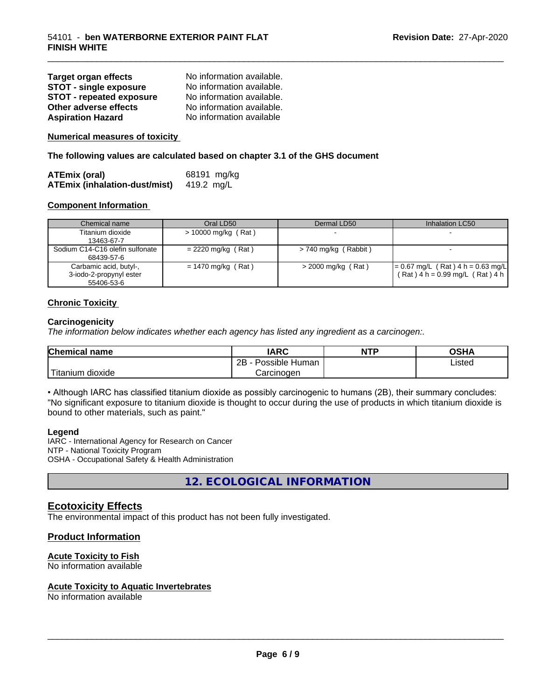| <b>Target organ effects</b>     | No information available. |
|---------------------------------|---------------------------|
| <b>STOT - single exposure</b>   | No information available. |
| <b>STOT - repeated exposure</b> | No information available. |
| Other adverse effects           | No information available. |
| <b>Aspiration Hazard</b>        | No information available  |

**Numerical measures of toxicity**

**The following values are calculated based on chapter 3.1 of the GHS document**

| <b>ATEmix (oral)</b>                 | 68191 mg/kg |
|--------------------------------------|-------------|
| <b>ATEmix (inhalation-dust/mist)</b> | 419.2 mg/L  |

#### **Component Information**

| Chemical name                                                   | Oral LD50             | Dermal LD50            | Inhalation LC50                                                            |
|-----------------------------------------------------------------|-----------------------|------------------------|----------------------------------------------------------------------------|
| Titanium dioxide<br>13463-67-7                                  | $> 10000$ mg/kg (Rat) | $\sim$                 |                                                                            |
| Sodium C14-C16 olefin sulfonate<br>68439-57-6                   | $= 2220$ mg/kg (Rat)  | $> 740$ mg/kg (Rabbit) |                                                                            |
| Carbamic acid, butyl-,<br>3-iodo-2-propynyl ester<br>55406-53-6 | $= 1470$ mg/kg (Rat)  | $>$ 2000 mg/kg (Rat)   | $= 0.67$ mg/L (Rat) 4 h = 0.63 mg/L<br>$(Rat)$ 4 h = 0.99 mg/L $(Rat)$ 4 h |

\_\_\_\_\_\_\_\_\_\_\_\_\_\_\_\_\_\_\_\_\_\_\_\_\_\_\_\_\_\_\_\_\_\_\_\_\_\_\_\_\_\_\_\_\_\_\_\_\_\_\_\_\_\_\_\_\_\_\_\_\_\_\_\_\_\_\_\_\_\_\_\_\_\_\_\_\_\_\_\_\_\_\_\_\_\_\_\_\_\_\_\_\_

#### **Chronic Toxicity**

#### **Carcinogenicity**

*The information below indicateswhether each agency has listed any ingredient as a carcinogen:.*

| Chemical<br>name       | <b>IARC</b>                  | <b>NTP</b> | <b>OSHA</b> |
|------------------------|------------------------------|------------|-------------|
|                        | .<br>2B<br>Possible<br>Human |            | Listed      |
| n dioxide<br>l itanıum | Carcinoɑen                   |            |             |

• Although IARC has classified titanium dioxide as possibly carcinogenic to humans (2B), their summary concludes: "No significant exposure to titanium dioxide is thought to occur during the use of products in which titanium dioxide is bound to other materials, such as paint."

#### **Legend**

IARC - International Agency for Research on Cancer NTP - National Toxicity Program OSHA - Occupational Safety & Health Administration

**12. ECOLOGICAL INFORMATION**

#### **Ecotoxicity Effects**

The environmental impact of this product has not been fully investigated.

#### **Product Information**

#### **Acute Toxicity to Fish**

No information available

#### **Acute Toxicity to Aquatic Invertebrates**

No information available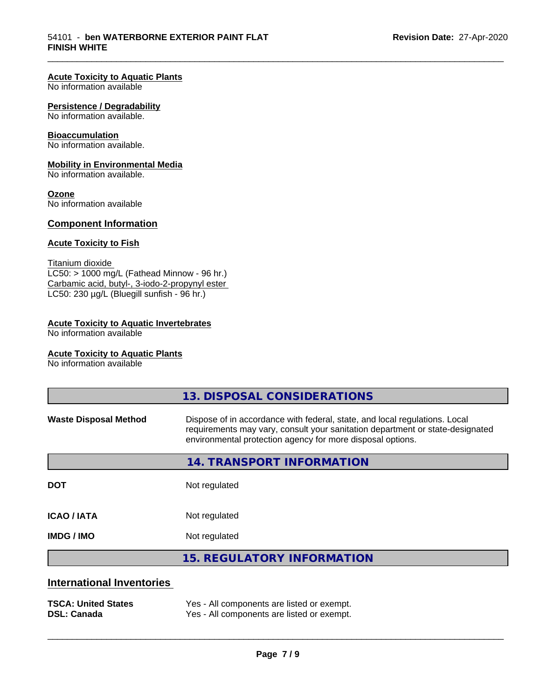#### **Acute Toxicity to Aquatic Plants**

No information available

#### **Persistence / Degradability**

No information available.

#### **Bioaccumulation**

No information available.

#### **Mobility in Environmental Media**

No information available.

#### **Ozone**

No information available

#### **Component Information**

#### **Acute Toxicity to Fish**

Titanium dioxide  $LC50: > 1000$  mg/L (Fathead Minnow - 96 hr.) Carbamic acid, butyl-, 3-iodo-2-propynyl ester LC50: 230 µg/L (Bluegill sunfish - 96 hr.)

#### **Acute Toxicity to Aquatic Invertebrates**

No information available

#### **Acute Toxicity to Aquatic Plants**

No information available

|                                  | 13. DISPOSAL CONSIDERATIONS                                                                                                                                                                                               |
|----------------------------------|---------------------------------------------------------------------------------------------------------------------------------------------------------------------------------------------------------------------------|
| <b>Waste Disposal Method</b>     | Dispose of in accordance with federal, state, and local regulations. Local<br>requirements may vary, consult your sanitation department or state-designated<br>environmental protection agency for more disposal options. |
|                                  | 14. TRANSPORT INFORMATION                                                                                                                                                                                                 |
| <b>DOT</b>                       | Not regulated                                                                                                                                                                                                             |
| <b>ICAO/IATA</b>                 | Not regulated                                                                                                                                                                                                             |
| <b>IMDG/IMO</b>                  | Not regulated                                                                                                                                                                                                             |
|                                  | <b>15. REGULATORY INFORMATION</b>                                                                                                                                                                                         |
| <b>International Inventories</b> |                                                                                                                                                                                                                           |

| <b>TSCA: United States</b> | Yes - All components are listed or exempt. |
|----------------------------|--------------------------------------------|
| <b>DSL: Canada</b>         | Yes - All components are listed or exempt. |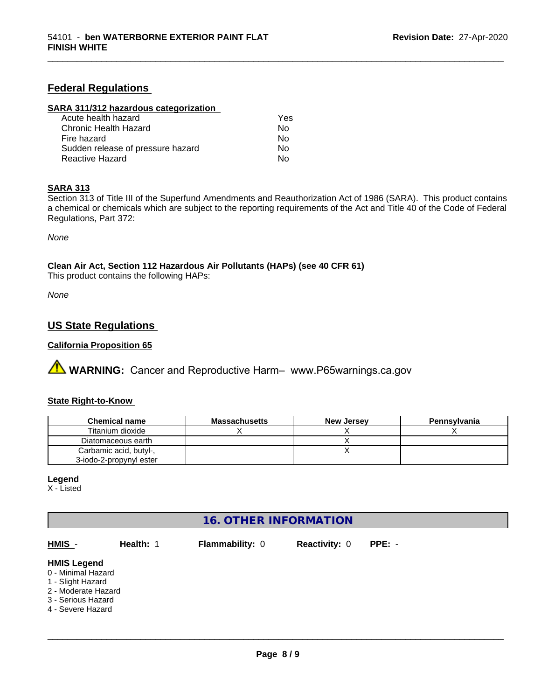#### **Federal Regulations**

#### **SARA 311/312 hazardous categorization**

| Acute health hazard               | Yes |
|-----------------------------------|-----|
| Chronic Health Hazard             | Nο  |
| Fire hazard                       | Nο  |
| Sudden release of pressure hazard | Nο  |
| Reactive Hazard                   | N٥  |

#### **SARA 313**

Section 313 of Title III of the Superfund Amendments and Reauthorization Act of 1986 (SARA). This product contains a chemical or chemicals which are subject to the reporting requirements of the Act and Title 40 of the Code of Federal Regulations, Part 372:

\_\_\_\_\_\_\_\_\_\_\_\_\_\_\_\_\_\_\_\_\_\_\_\_\_\_\_\_\_\_\_\_\_\_\_\_\_\_\_\_\_\_\_\_\_\_\_\_\_\_\_\_\_\_\_\_\_\_\_\_\_\_\_\_\_\_\_\_\_\_\_\_\_\_\_\_\_\_\_\_\_\_\_\_\_\_\_\_\_\_\_\_\_

*None*

**Clean Air Act,Section 112 Hazardous Air Pollutants (HAPs) (see 40 CFR 61)**

This product contains the following HAPs:

*None*

#### **US State Regulations**

#### **California Proposition 65**

**A WARNING:** Cancer and Reproductive Harm– www.P65warnings.ca.gov

#### **State Right-to-Know**

| <b>Chemical name</b>    | <b>Massachusetts</b> | <b>New Jersey</b> | Pennsylvania |
|-------------------------|----------------------|-------------------|--------------|
| Titanium dioxide        |                      |                   |              |
| Diatomaceous earth      |                      |                   |              |
| Carbamic acid, butyl-,  |                      |                   |              |
| 3-iodo-2-propynyl ester |                      |                   |              |

#### **Legend**

X - Listed

#### **16. OTHER INFORMATION**

| HMIS -                                                                                                                          | Health: 1 | <b>Flammability: 0</b> | <b>Reactivity: 0</b> | $PPE: -$ |
|---------------------------------------------------------------------------------------------------------------------------------|-----------|------------------------|----------------------|----------|
| <b>HMIS Legend</b><br>0 - Minimal Hazard<br>1 - Slight Hazard<br>2 - Moderate Hazard<br>3 - Serious Hazard<br>4 - Severe Hazard |           |                        |                      |          |